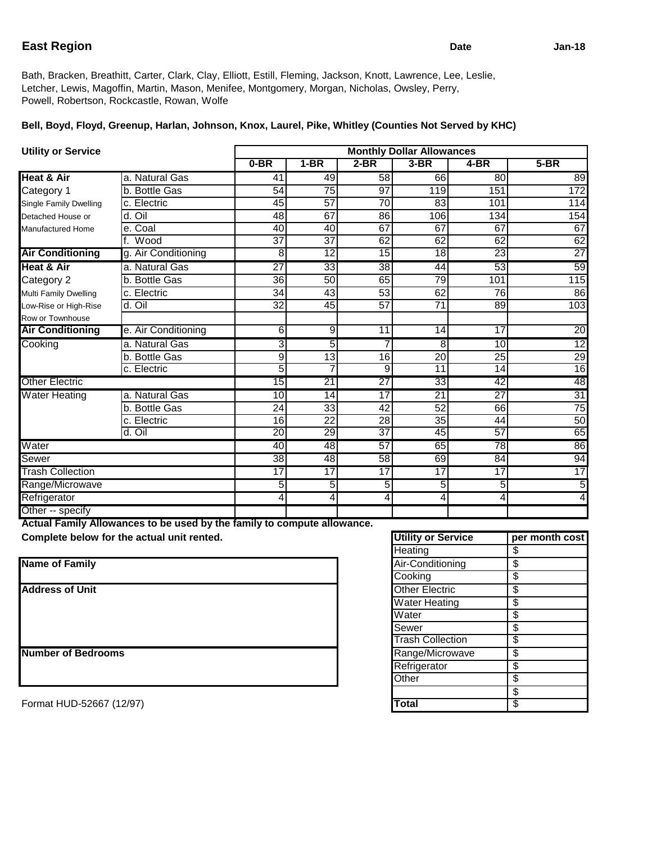## **East Region** Jan-18

Bath, Bracken, Breathitt, Carter, Clark, Clay, Elliott, Estill, Fleming, Jackson, Knott, Lawrence, Lee, Leslie, Letcher, Lewis, Magoffin, Martin, Mason, Menifee, Montgomery, Morgan, Nicholas, Owsley, Perry, Powell, Robertson, Rockcastle, Rowan, Wolfe

## **Bell, Boyd, Floyd, Greenup, Harlan, Johnson, Knox, Laurel, Pike, Whitley (Counties Not Served by KHC)**

| <b>Utility or Service</b> |                     | <b>Monthly Dollar Allowances</b> |                 |                 |                 |                 |                 |
|---------------------------|---------------------|----------------------------------|-----------------|-----------------|-----------------|-----------------|-----------------|
|                           |                     | $0-BR$                           | $1-BR$          | $2-BR$          | $3-BR$          | 4-BR            | $5-BR$          |
| <b>Heat &amp; Air</b>     | a. Natural Gas      | 41                               | 49              | 58              | 66              | 80              | 89              |
| Category 1                | b. Bottle Gas       | 54                               | 75              | $\overline{97}$ | 119             | 151             | 172             |
| Single Family Dwelling    | c. Electric         | 45                               | $\overline{57}$ | $\overline{70}$ | 83              | 101             | 114             |
| Detached House or         | d. Oil              | 48                               | 67              | 86              | 106             | 134             | 154             |
| <b>Manufactured Home</b>  | e. Coal             | 40                               | 40              | 67              | 67              | 67              | 67              |
|                           | f. Wood             | $\overline{37}$                  | $\overline{37}$ | 62              | 62              | 62              | 62              |
| <b>Air Conditioning</b>   | g. Air Conditioning | 8                                | $\overline{12}$ | $\overline{15}$ | $\overline{18}$ | $\overline{23}$ | 27              |
| <b>Heat &amp; Air</b>     | a. Natural Gas      | $\overline{27}$                  | 33              | $\overline{38}$ | 44              | 53              | 59              |
| Category 2                | b. Bottle Gas       | $\overline{36}$                  | 50              | 65              | 79              | 101             | 115             |
| Multi Family Dwelling     | c. Electric         | $\overline{34}$                  | 43              | $\overline{53}$ | 62              | 76              | 86              |
| Low-Rise or High-Rise     | d. Oil              | 32                               | 45              | 57              | $\overline{71}$ | 89              | 103             |
| Row or Townhouse          |                     |                                  |                 |                 |                 |                 |                 |
| <b>Air Conditioning</b>   | e. Air Conditioning | 6                                | 9               | 11              | 14              | 17              | 20              |
| Cooking                   | a. Natural Gas      | 3                                | 5               | 7               | 8               | 10              | $\overline{12}$ |
|                           | b. Bottle Gas       | $\overline{9}$                   | $\overline{13}$ | $\overline{16}$ | $\overline{20}$ | $\overline{25}$ | 29              |
|                           | c. Electric         | 5                                |                 | 9               | 11              | 14              | 16              |
| <b>Other Electric</b>     |                     | 15                               | $\overline{21}$ | $\overline{27}$ | $\overline{33}$ | 42              | 48              |
| <b>Water Heating</b>      | a. Natural Gas      | 10                               | 14              | $\overline{17}$ | 21              | $\overline{27}$ | $\overline{31}$ |
|                           | b. Bottle Gas       | 24                               | 33              | 42              | $\overline{52}$ | 66              | $\overline{75}$ |
|                           | c. Electric         | 16                               | 22              | 28              | 35              | 44              | 50              |
|                           | d. Oil              | $\overline{20}$                  | 29              | $\overline{37}$ | 45              | 57              | 65              |
| Water                     |                     | 40                               | 48              | 57              | 65              | $\overline{78}$ | 86              |
| Sewer                     |                     | $\overline{38}$                  | 48              | $\overline{58}$ | 69              | 84              | 94              |
| <b>Trash Collection</b>   |                     | 17                               | $\overline{17}$ | 17              | $\overline{17}$ | $\overline{17}$ | 17              |
| Range/Microwave           |                     | 5                                | 5               | 5               | 5               | 5               | 5               |
| Refrigerator              |                     | 4                                | 4               | 4               | 4               | 4               | 4               |
| Other -- specify          |                     |                                  |                 |                 |                 |                 |                 |

**Actual Family Allowances to be used by the family to compute allowance.**

**Complete below for the actual unit rented.** 

| <b>Name of Family</b>     | Air-Conditioning        | \$ |
|---------------------------|-------------------------|----|
|                           | Cooking                 |    |
| <b>Address of Unit</b>    | <b>Other Electric</b>   |    |
|                           | <b>Water Heating</b>    |    |
|                           | Water                   |    |
|                           | Sewer                   |    |
|                           | <b>Trash Collection</b> |    |
| <b>Number of Bedrooms</b> | Range/Microwave         | \$ |
|                           | Refrigerator            |    |
|                           | Other                   | \$ |

| <b>Utility or Service</b> | per month cost |
|---------------------------|----------------|
| Heating                   | \$             |
| Air-Conditioning          | \$             |
| Cooking                   | \$             |
| <b>Other Electric</b>     | \$             |
| <b>Water Heating</b>      | \$             |
| Water                     | \$             |
| Sewer                     | \$             |
| <b>Trash Collection</b>   | \$             |
| Range/Microwave           | \$             |
| Refrigerator              | \$             |
| Other                     | \$             |
|                           | \$             |
| <b>Total</b>              | \$             |

Format HUD-52667 (12/97)